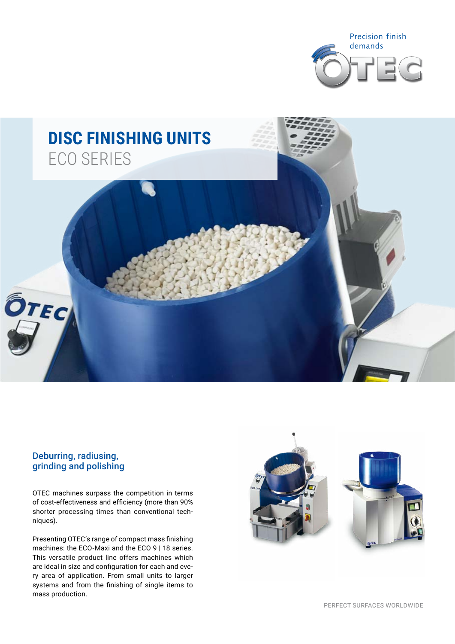



# Deburring, radiusing, grinding and polishing

OTEC machines surpass the competition in terms of cost-effectiveness and efficiency (more than 90% shorter processing times than conventional techniques).

Presenting OTEC's range of compact mass finishing machines: the ECO-Maxi and the ECO 9 | 18 series. This versatile product line offers machines which are ideal in size and configuration for each and every area of application. From small units to larger systems and from the finishing of single items to mass production.